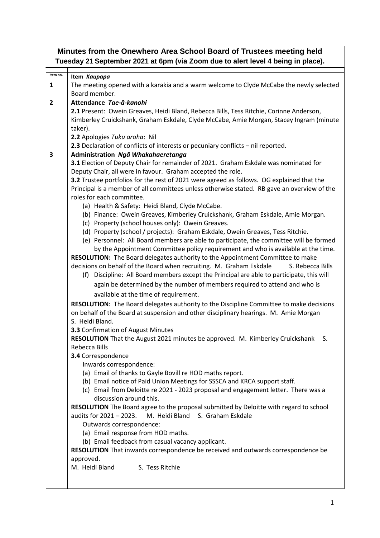| Minutes from the Onewhero Area School Board of Trustees meeting held<br>Tuesday 21 September 2021 at 6pm (via Zoom due to alert level 4 being in place). |                                                                                                                                                                             |  |
|----------------------------------------------------------------------------------------------------------------------------------------------------------|-----------------------------------------------------------------------------------------------------------------------------------------------------------------------------|--|
| Item no.                                                                                                                                                 |                                                                                                                                                                             |  |
| $\mathbf{1}$                                                                                                                                             | Item Kaupapa<br>The meeting opened with a karakia and a warm welcome to Clyde McCabe the newly selected                                                                     |  |
|                                                                                                                                                          | Board member.                                                                                                                                                               |  |
| $\overline{2}$                                                                                                                                           | Attendance Tae-ā-kanohi                                                                                                                                                     |  |
|                                                                                                                                                          | 2.1 Present: Owein Greaves, Heidi Bland, Rebecca Bills, Tess Ritchie, Corinne Anderson,                                                                                     |  |
|                                                                                                                                                          | Kimberley Cruickshank, Graham Eskdale, Clyde McCabe, Amie Morgan, Stacey Ingram (minute                                                                                     |  |
|                                                                                                                                                          | taker).                                                                                                                                                                     |  |
|                                                                                                                                                          | 2.2 Apologies Tuku aroha: Nil                                                                                                                                               |  |
|                                                                                                                                                          | 2.3 Declaration of conflicts of interests or pecuniary conflicts - nil reported.                                                                                            |  |
| 3                                                                                                                                                        | Administration Ngā Whakahaeretanga                                                                                                                                          |  |
|                                                                                                                                                          | 3.1 Election of Deputy Chair for remainder of 2021. Graham Eskdale was nominated for                                                                                        |  |
|                                                                                                                                                          | Deputy Chair, all were in favour. Graham accepted the role.                                                                                                                 |  |
|                                                                                                                                                          | 3.2 Trustee portfolios for the rest of 2021 were agreed as follows. OG explained that the                                                                                   |  |
|                                                                                                                                                          | Principal is a member of all committees unless otherwise stated. RB gave an overview of the                                                                                 |  |
|                                                                                                                                                          | roles for each committee.                                                                                                                                                   |  |
|                                                                                                                                                          | (a) Health & Safety: Heidi Bland, Clyde McCabe.                                                                                                                             |  |
|                                                                                                                                                          | (b) Finance: Owein Greaves, Kimberley Cruickshank, Graham Eskdale, Amie Morgan.                                                                                             |  |
|                                                                                                                                                          | (c) Property (school houses only): Owein Greaves.                                                                                                                           |  |
|                                                                                                                                                          | (d) Property (school / projects): Graham Eskdale, Owein Greaves, Tess Ritchie.                                                                                              |  |
|                                                                                                                                                          | (e) Personnel: All Board members are able to participate, the committee will be formed<br>by the Appointment Committee policy requirement and who is available at the time. |  |
|                                                                                                                                                          | RESOLUTION: The Board delegates authority to the Appointment Committee to make                                                                                              |  |
|                                                                                                                                                          | decisions on behalf of the Board when recruiting. M. Graham Eskdale<br>S. Rebecca Bills                                                                                     |  |
|                                                                                                                                                          | (f) Discipline: All Board members except the Principal are able to participate, this will                                                                                   |  |
|                                                                                                                                                          | again be determined by the number of members required to attend and who is                                                                                                  |  |
|                                                                                                                                                          | available at the time of requirement.                                                                                                                                       |  |
|                                                                                                                                                          |                                                                                                                                                                             |  |
|                                                                                                                                                          | RESOLUTION: The Board delegates authority to the Discipline Committee to make decisions                                                                                     |  |
|                                                                                                                                                          | on behalf of the Board at suspension and other disciplinary hearings. M. Amie Morgan<br>S. Heidi Bland.                                                                     |  |
|                                                                                                                                                          | 3.3 Confirmation of August Minutes                                                                                                                                          |  |
|                                                                                                                                                          | RESOLUTION That the August 2021 minutes be approved. M. Kimberley Cruickshank S.                                                                                            |  |
|                                                                                                                                                          | Rebecca Bills                                                                                                                                                               |  |
|                                                                                                                                                          | 3.4 Correspondence                                                                                                                                                          |  |
|                                                                                                                                                          | Inwards correspondence:                                                                                                                                                     |  |
|                                                                                                                                                          | (a) Email of thanks to Gayle Bovill re HOD maths report.                                                                                                                    |  |
|                                                                                                                                                          | (b) Email notice of Paid Union Meetings for SSSCA and KRCA support staff.                                                                                                   |  |
|                                                                                                                                                          | (c) Email from Deloitte re 2021 - 2023 proposal and engagement letter. There was a                                                                                          |  |
|                                                                                                                                                          | discussion around this.                                                                                                                                                     |  |
|                                                                                                                                                          | RESOLUTION The Board agree to the proposal submitted by Deloitte with regard to school                                                                                      |  |
|                                                                                                                                                          | audits for 2021 - 2023.<br>M. Heidi Bland S. Graham Eskdale                                                                                                                 |  |
|                                                                                                                                                          | Outwards correspondence:                                                                                                                                                    |  |
|                                                                                                                                                          | (a) Email response from HOD maths.                                                                                                                                          |  |
|                                                                                                                                                          | (b) Email feedback from casual vacancy applicant.                                                                                                                           |  |
|                                                                                                                                                          | RESOLUTION That inwards correspondence be received and outwards correspondence be                                                                                           |  |
|                                                                                                                                                          | approved.                                                                                                                                                                   |  |
|                                                                                                                                                          | S. Tess Ritchie<br>M. Heidi Bland                                                                                                                                           |  |
|                                                                                                                                                          |                                                                                                                                                                             |  |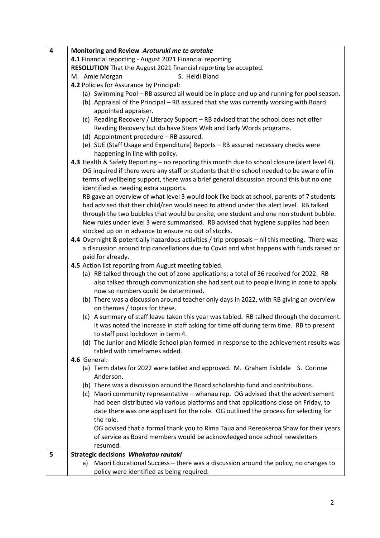| 4 | Monitoring and Review Aroturuki me te arotake                                                                                                                               |
|---|-----------------------------------------------------------------------------------------------------------------------------------------------------------------------------|
|   | 4.1 Financial reporting - August 2021 Financial reporting                                                                                                                   |
|   | RESOLUTION That the August 2021 financial reporting be accepted.                                                                                                            |
|   | S. Heidi Bland<br>M. Amie Morgan                                                                                                                                            |
|   | 4.2 Policies for Assurance by Principal:                                                                                                                                    |
|   | (a) Swimming Pool - RB assured all would be in place and up and running for pool season.                                                                                    |
|   | (b) Appraisal of the Principal - RB assured that she was currently working with Board                                                                                       |
|   | appointed appraiser.                                                                                                                                                        |
|   | (c) Reading Recovery / Literacy Support - RB advised that the school does not offer                                                                                         |
|   | Reading Recovery but do have Steps Web and Early Words programs.                                                                                                            |
|   | (d) Appointment procedure - RB assured.                                                                                                                                     |
|   | (e) SUE (Staff Usage and Expenditure) Reports - RB assured necessary checks were                                                                                            |
|   | happening in line with policy.                                                                                                                                              |
|   | 4.3 Health & Safety Reporting - no reporting this month due to school closure (alert level 4).                                                                              |
|   | OG inquired if there were any staff or students that the school needed to be aware of in                                                                                    |
|   | terms of wellbeing support, there was a brief general discussion around this but no one                                                                                     |
|   | identified as needing extra supports.                                                                                                                                       |
|   | RB gave an overview of what level 3 would look like back at school, parents of 7 students                                                                                   |
|   | had advised that their child/ren would need to attend under this alert level. RB talked                                                                                     |
|   | through the two bubbles that would be onsite, one student and one non student bubble.<br>New rules under level 3 were summarised. RB advised that hygiene supplies had been |
|   | stocked up on in advance to ensure no out of stocks.                                                                                                                        |
|   | 4.4 Overnight & potentially hazardous activities / trip proposals - nil this meeting. There was                                                                             |
|   | a discussion around trip cancellations due to Covid and what happens with funds raised or                                                                                   |
|   | paid for already.                                                                                                                                                           |
|   | 4.5 Action list reporting from August meeting tabled.                                                                                                                       |
|   | (a) RB talked through the out of zone applications; a total of 36 received for 2022. RB                                                                                     |
|   | also talked through communication she had sent out to people living in zone to apply                                                                                        |
|   | now so numbers could be determined.                                                                                                                                         |
|   | (b) There was a discussion around teacher only days in 2022, with RB giving an overview                                                                                     |
|   | on themes / topics for these.                                                                                                                                               |
|   | (c) A summary of staff leave taken this year was tabled. RB talked through the document.                                                                                    |
|   | It was noted the increase in staff asking for time off during term time. RB to present                                                                                      |
|   | to staff post lockdown in term 4.                                                                                                                                           |
|   | (d) The Junior and Middle School plan formed in response to the achievement results was                                                                                     |
|   | tabled with timeframes added.                                                                                                                                               |
|   | 4.6 General:                                                                                                                                                                |
|   | (a) Term dates for 2022 were tabled and approved. M. Graham Eskdale S. Corinne<br>Anderson.                                                                                 |
|   | (b) There was a discussion around the Board scholarship fund and contributions.                                                                                             |
|   | (c) Maori community representative - whanau rep. OG advised that the advertisement                                                                                          |
|   | had been distributed via various platforms and that applications close on Friday, to                                                                                        |
|   | date there was one applicant for the role. OG outlined the process for selecting for                                                                                        |
|   | the role.                                                                                                                                                                   |
|   | OG advised that a formal thank you to Rima Taua and Rereokeroa Shaw for their years                                                                                         |
|   | of service as Board members would be acknowledged once school newsletters                                                                                                   |
|   | resumed.                                                                                                                                                                    |
| 5 | Strategic decisions Whakatau rautaki                                                                                                                                        |
|   | a) Maori Educational Success - there was a discussion around the policy, no changes to                                                                                      |
|   | policy were identified as being required.                                                                                                                                   |